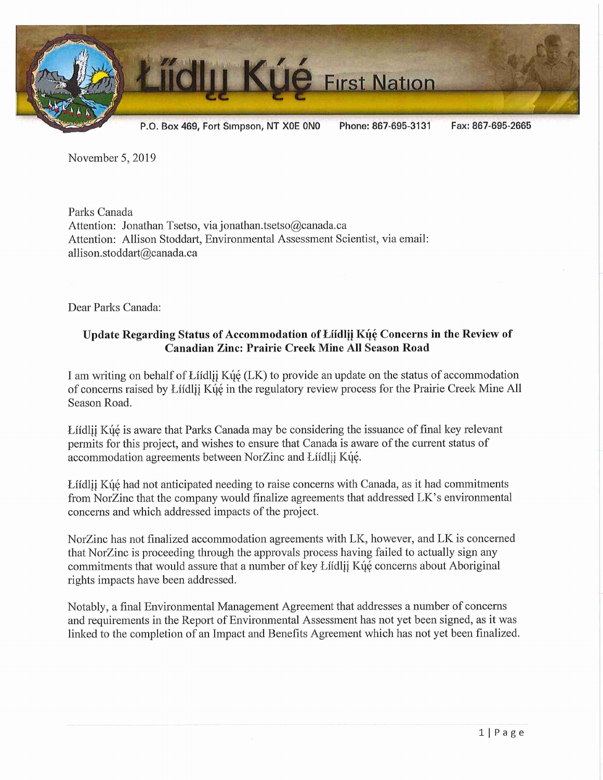

November 5, 2019

Parks Canada Attention: Jonathan Tsetso, via jonathan.tsetso@canada.ca Attention: Allison Stoddart, Environmental Assessment Scientist, via email: allison. stoddart@canada. ca

Dear Parks Canada:

## Update Regarding Status of Accommodation of Liidlij Kue Concerns in the Review of Canadian Zinc: Prairie Creek Mine All Season Road

I am writing on behalf of Liidlii K $\acute{u}$  (LK) to provide an update on the status of accommodation of concerns raised by Lifdlij Kýé in the regulatory review process for the Prairie Creek Mine All Season Road.

Liidlii Kué is aware that Parks Canada may be considering the issuance of final key relevant permits for this project, and wishes to ensure that Canada is aware of the current status of accommodation agreements between NorZinc and Łiidlij Kų́ę.

Liidlij Kue had not anticipated needing to raise concerns with Canada, as it had commitments from NorZinc that the company would finalize agreements that addressed LK's environmental concerns and which addressed impacts of the project.

NorZinc has not finalized accommodation agreements with LK, however, and LK is concerned that NorZinc is proceeding through the approvals process having failed to actually sign any commitments that would assure that a number of key Liidlij Kue concerns about Aboriginal rights impacts have been addressed.

Notably, a final Environmental Management Agreement that addresses a number of concerns and requirements in the Report of Environmental Assessment has not yet been signed, as it was linked to the completion of an Impact and Benefits Agreement which has not yet been finalized.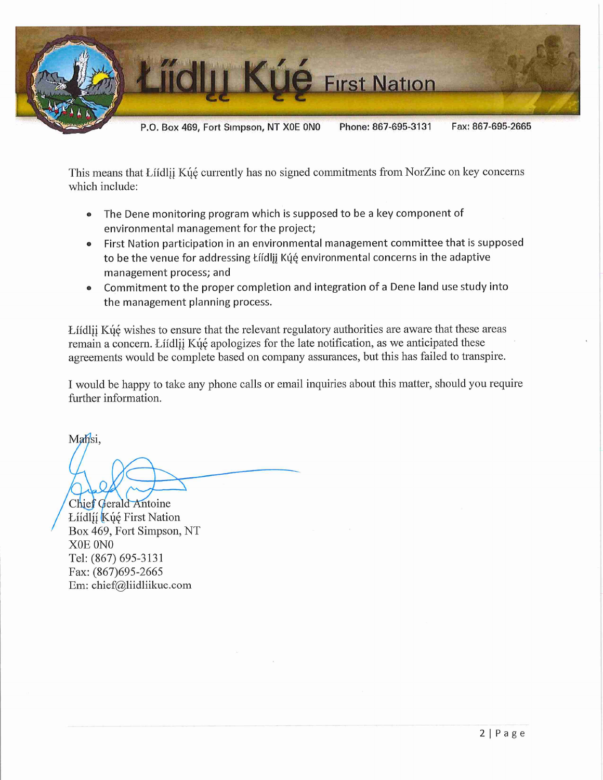

This means that Liidlij Kue currently has no signed commitments from NorZinc on key concerns which include:

- The Dene monitoring program which is supposed to be a key component of environmental management for the project;
- First Nation participation in an environmental management committee that is supposed to be the venue for addressing Łíídlįį Kų́ę environmental concerns in the adaptive management process; and
- Commitment to the proper completion and integration of a Dene land use study into the management planning process.

Liidlij Ku $\acute{\text{e}}$  wishes to ensure that the relevant regulatory authorities are aware that these areas remain a concern. Liidlij Kué apologizes for the late notification, as we anticipated these agreements would be complete based on company assurances, but this has failed to transpire.

I would be happy to take any phone calls or email inquiries about this matter, should you require further information.

Mahsi,

Chief Gerald Antoine Líídlíí Kúé First Nation Box 469, Fort Simpson, NT XOE ONO Tel: (867) 695-3131 Fax:(867)695-2665 Em: chief@liidliikue.com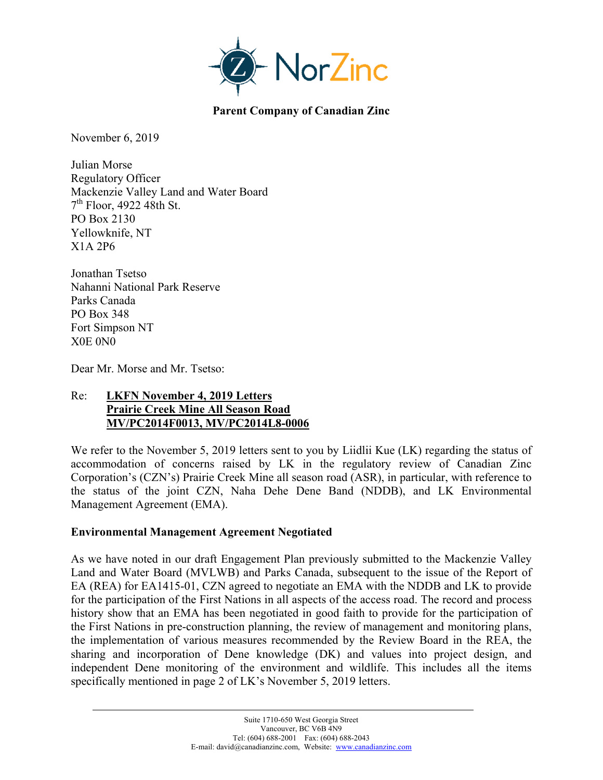

**Parent Company of Canadian Zinc** 

November 6, 2019

Julian Morse Regulatory Officer Mackenzie Valley Land and Water Board  $7<sup>th</sup>$  Floor, 4922 48th St. PO Box 2130 Yellowknife, NT X1A 2P6

Jonathan Tsetso Nahanni National Park Reserve Parks Canada PO Box 348 Fort Simpson NT X0E 0N0

Dear Mr. Morse and Mr. Tsetso:

#### Re: **LKFN November 4, 2019 Letters Prairie Creek Mine All Season Road MV/PC2014F0013, MV/PC2014L8-0006**

We refer to the November 5, 2019 letters sent to you by Liidlii Kue (LK) regarding the status of accommodation of concerns raised by LK in the regulatory review of Canadian Zinc Corporation's (CZN's) Prairie Creek Mine all season road (ASR), in particular, with reference to the status of the joint CZN, Naha Dehe Dene Band (NDDB), and LK Environmental Management Agreement (EMA).

#### **Environmental Management Agreement Negotiated**

As we have noted in our draft Engagement Plan previously submitted to the Mackenzie Valley Land and Water Board (MVLWB) and Parks Canada, subsequent to the issue of the Report of EA (REA) for EA1415-01, CZN agreed to negotiate an EMA with the NDDB and LK to provide for the participation of the First Nations in all aspects of the access road. The record and process history show that an EMA has been negotiated in good faith to provide for the participation of the First Nations in pre-construction planning, the review of management and monitoring plans, the implementation of various measures recommended by the Review Board in the REA, the sharing and incorporation of Dene knowledge (DK) and values into project design, and independent Dene monitoring of the environment and wildlife. This includes all the items specifically mentioned in page 2 of LK's November 5, 2019 letters.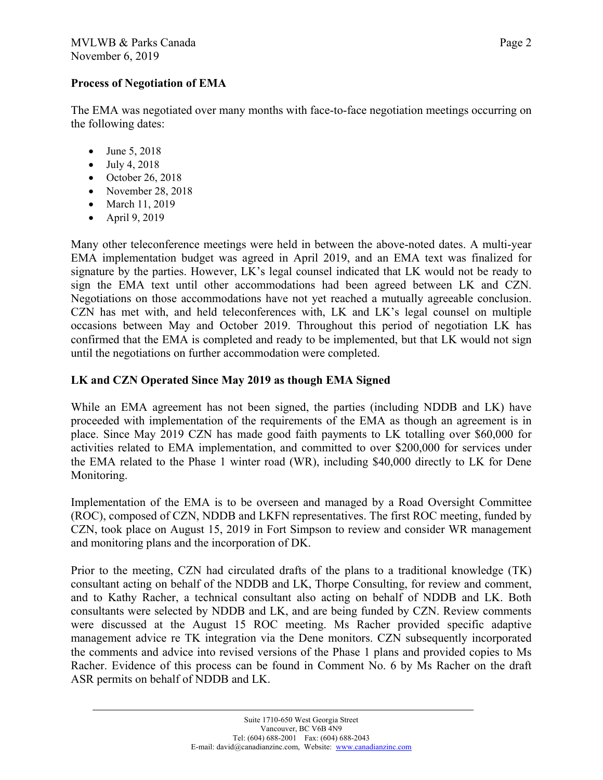#### **Process of Negotiation of EMA**

The EMA was negotiated over many months with face-to-face negotiation meetings occurring on the following dates:

- June 5, 2018
- $-$  July 4, 2018
- $\bullet$  October 26, 2018
- November 28, 2018
- March 11, 2019
- April 9, 2019

Many other teleconference meetings were held in between the above-noted dates. A multi-year EMA implementation budget was agreed in April 2019, and an EMA text was finalized for signature by the parties. However, LK's legal counsel indicated that LK would not be ready to sign the EMA text until other accommodations had been agreed between LK and CZN. Negotiations on those accommodations have not yet reached a mutually agreeable conclusion. CZN has met with, and held teleconferences with, LK and LK's legal counsel on multiple occasions between May and October 2019. Throughout this period of negotiation LK has confirmed that the EMA is completed and ready to be implemented, but that LK would not sign until the negotiations on further accommodation were completed.

## **LK and CZN Operated Since May 2019 as though EMA Signed**

While an EMA agreement has not been signed, the parties (including NDDB and LK) have proceeded with implementation of the requirements of the EMA as though an agreement is in place. Since May 2019 CZN has made good faith payments to LK totalling over \$60,000 for activities related to EMA implementation, and committed to over \$200,000 for services under the EMA related to the Phase 1 winter road (WR), including \$40,000 directly to LK for Dene Monitoring.

Implementation of the EMA is to be overseen and managed by a Road Oversight Committee (ROC), composed of CZN, NDDB and LKFN representatives. The first ROC meeting, funded by CZN, took place on August 15, 2019 in Fort Simpson to review and consider WR management and monitoring plans and the incorporation of DK.

Prior to the meeting, CZN had circulated drafts of the plans to a traditional knowledge (TK) consultant acting on behalf of the NDDB and LK, Thorpe Consulting, for review and comment, and to Kathy Racher, a technical consultant also acting on behalf of NDDB and LK. Both consultants were selected by NDDB and LK, and are being funded by CZN. Review comments were discussed at the August 15 ROC meeting. Ms Racher provided specific adaptive management advice re TK integration via the Dene monitors. CZN subsequently incorporated the comments and advice into revised versions of the Phase 1 plans and provided copies to Ms Racher. Evidence of this process can be found in Comment No. 6 by Ms Racher on the draft ASR permits on behalf of NDDB and LK.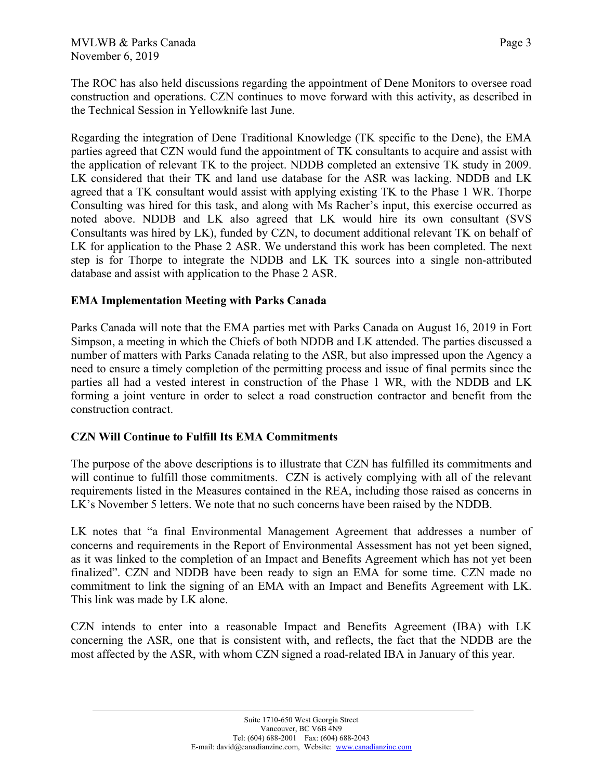The ROC has also held discussions regarding the appointment of Dene Monitors to oversee road construction and operations. CZN continues to move forward with this activity, as described in the Technical Session in Yellowknife last June.

Regarding the integration of Dene Traditional Knowledge (TK specific to the Dene), the EMA parties agreed that CZN would fund the appointment of TK consultants to acquire and assist with the application of relevant TK to the project. NDDB completed an extensive TK study in 2009. LK considered that their TK and land use database for the ASR was lacking. NDDB and LK agreed that a TK consultant would assist with applying existing TK to the Phase 1 WR. Thorpe Consulting was hired for this task, and along with Ms Racher's input, this exercise occurred as noted above. NDDB and LK also agreed that LK would hire its own consultant (SVS Consultants was hired by LK), funded by CZN, to document additional relevant TK on behalf of LK for application to the Phase 2 ASR. We understand this work has been completed. The next step is for Thorpe to integrate the NDDB and LK TK sources into a single non-attributed database and assist with application to the Phase 2 ASR.

## **EMA Implementation Meeting with Parks Canada**

Parks Canada will note that the EMA parties met with Parks Canada on August 16, 2019 in Fort Simpson, a meeting in which the Chiefs of both NDDB and LK attended. The parties discussed a number of matters with Parks Canada relating to the ASR, but also impressed upon the Agency a need to ensure a timely completion of the permitting process and issue of final permits since the parties all had a vested interest in construction of the Phase 1 WR, with the NDDB and LK forming a joint venture in order to select a road construction contractor and benefit from the construction contract.

## **CZN Will Continue to Fulfill Its EMA Commitments**

The purpose of the above descriptions is to illustrate that CZN has fulfilled its commitments and will continue to fulfill those commitments. CZN is actively complying with all of the relevant requirements listed in the Measures contained in the REA, including those raised as concerns in LK's November 5 letters. We note that no such concerns have been raised by the NDDB.

LK notes that "a final Environmental Management Agreement that addresses a number of concerns and requirements in the Report of Environmental Assessment has not yet been signed, as it was linked to the completion of an Impact and Benefits Agreement which has not yet been finalized". CZN and NDDB have been ready to sign an EMA for some time. CZN made no commitment to link the signing of an EMA with an Impact and Benefits Agreement with LK. This link was made by LK alone.

CZN intends to enter into a reasonable Impact and Benefits Agreement (IBA) with LK concerning the ASR, one that is consistent with, and reflects, the fact that the NDDB are the most affected by the ASR, with whom CZN signed a road-related IBA in January of this year.